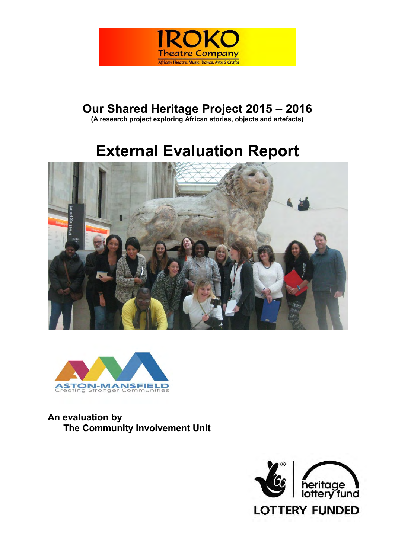

# **Our Shared Heritage Project 2015 – 2016**

**(A research project exploring African stories, objects and artefacts)**

# **External Evaluation Report**





**An evaluation by The Community Involvement Unit**

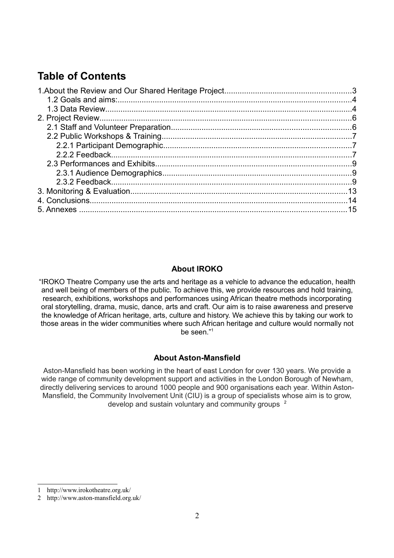# **Table of Contents**

## **About IROKO**

"IROKO Theatre Company use the arts and heritage as a vehicle to advance the education, health and well being of members of the public. To achieve this, we provide resources and hold training, research, exhibitions, workshops and performances using African theatre methods incorporating oral storytelling, drama, music, dance, arts and craft. Our aim is to raise awareness and preserve the knowledge of African heritage, arts, culture and history. We achieve this by taking our work to those areas in the wider communities where such African heritage and culture would normally not be seen."[1](#page-1-0)

## **About Aston-Mansfield**

Aston-Mansfield has been working in the heart of east London for over 130 years. We provide a wide range of community development support and activities in the London Borough of Newham, directly delivering services to around 1000 people and 900 organisations each year. Within Aston-Mansfield, the Community Involvement Unit (CIU) is a group of specialists whose aim is to grow, develop and sustain voluntary and community groups [2](#page-1-1)

<span id="page-1-0"></span><sup>1</sup> http://www.irokotheatre.org.uk/

<span id="page-1-1"></span><sup>2</sup> http://www.aston-mansfield.org.uk/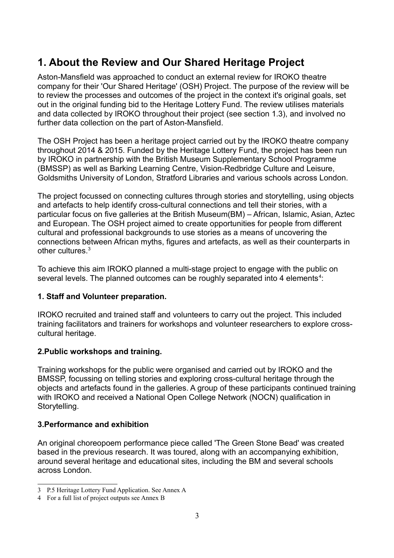# **1. About the Review and Our Shared Heritage Project**

Aston-Mansfield was approached to conduct an external review for IROKO theatre company for their 'Our Shared Heritage' (OSH) Project. The purpose of the review will be to review the processes and outcomes of the project in the context it's original goals, set out in the original funding bid to the Heritage Lottery Fund. The review utilises materials and data collected by IROKO throughout their project (see section 1.3), and involved no further data collection on the part of Aston-Mansfield.

The OSH Project has been a heritage project carried out by the IROKO theatre company throughout 2014 & 2015. Funded by the Heritage Lottery Fund, the project has been run by IROKO in partnership with the British Museum Supplementary School Programme (BMSSP) as well as Barking Learning Centre, Vision-Redbridge Culture and Leisure, Goldsmiths University of London, Stratford Libraries and various schools across London.

The project focussed on connecting cultures through stories and storytelling, using objects and artefacts to help identify cross-cultural connections and tell their stories, with a particular focus on five galleries at the British Museum(BM) – African, Islamic, Asian, Aztec and European. The OSH project aimed to create opportunities for people from different cultural and professional backgrounds to use stories as a means of uncovering the connections between African myths, figures and artefacts, as well as their counterparts in other cultures.[3](#page-2-0)

To achieve this aim IROKO planned a multi-stage project to engage with the public on several levels. The planned outcomes can be roughly separated into [4](#page-2-1) elements<sup>4</sup>:

## **1. Staff and Volunteer preparation.**

IROKO recruited and trained staff and volunteers to carry out the project. This included training facilitators and trainers for workshops and volunteer researchers to explore crosscultural heritage.

## **2.Public workshops and training.**

Training workshops for the public were organised and carried out by IROKO and the BMSSP, focussing on telling stories and exploring cross-cultural heritage through the objects and artefacts found in the galleries. A group of these participants continued training with IROKO and received a National Open College Network (NOCN) qualification in Storytelling.

## **3.Performance and exhibition**

An original choreopoem performance piece called 'The Green Stone Bead' was created based in the previous research. It was toured, along with an accompanying exhibition, around several heritage and educational sites, including the BM and several schools across London.

<span id="page-2-0"></span><sup>3</sup> P.5 Heritage Lottery Fund Application. See Annex A

<span id="page-2-1"></span><sup>4</sup> For a full list of project outputs see Annex B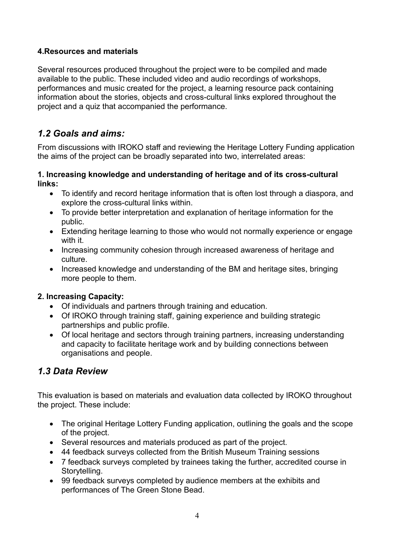## **4.Resources and materials**

Several resources produced throughout the project were to be compiled and made available to the public. These included video and audio recordings of workshops, performances and music created for the project, a learning resource pack containing information about the stories, objects and cross-cultural links explored throughout the project and a quiz that accompanied the performance.

## *1.2 Goals and aims:*

From discussions with IROKO staff and reviewing the Heritage Lottery Funding application the aims of the project can be broadly separated into two, interrelated areas:

#### **1. Increasing knowledge and understanding of heritage and of its cross-cultural links:**

- To identify and record heritage information that is often lost through a diaspora, and explore the cross-cultural links within.
- To provide better interpretation and explanation of heritage information for the public.
- Extending heritage learning to those who would not normally experience or engage with it.
- Increasing community cohesion through increased awareness of heritage and culture.
- Increased knowledge and understanding of the BM and heritage sites, bringing more people to them.

## **2. Increasing Capacity:**

- Of individuals and partners through training and education.
- Of IROKO through training staff, gaining experience and building strategic partnerships and public profile.
- Of local heritage and sectors through training partners, increasing understanding and capacity to facilitate heritage work and by building connections between organisations and people.

## *1.3 Data Review*

This evaluation is based on materials and evaluation data collected by IROKO throughout the project. These include:

- The original Heritage Lottery Funding application, outlining the goals and the scope of the project.
- Several resources and materials produced as part of the project.
- 44 feedback surveys collected from the British Museum Training sessions
- 7 feedback surveys completed by trainees taking the further, accredited course in Storytelling.
- 99 feedback surveys completed by audience members at the exhibits and performances of The Green Stone Bead.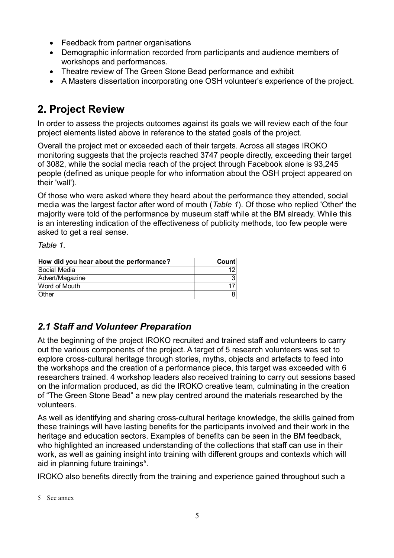- Feedback from partner organisations
- Demographic information recorded from participants and audience members of workshops and performances.
- Theatre review of The Green Stone Bead performance and exhibit
- A Masters dissertation incorporating one OSH volunteer's experience of the project.

## **2. Project Review**

In order to assess the projects outcomes against its goals we will review each of the four project elements listed above in reference to the stated goals of the project.

Overall the project met or exceeded each of their targets. Across all stages IROKO monitoring suggests that the projects reached 3747 people directly, exceeding their target of 3082, while the social media reach of the project through Facebook alone is 93,245 people (defined as unique people for who information about the OSH project appeared on their 'wall').

Of those who were asked where they heard about the performance they attended, social media was the largest factor after word of mouth (*Table 1*). Of those who replied 'Other' the majority were told of the performance by museum staff while at the BM already. While this is an interesting indication of the effectiveness of publicity methods, too few people were asked to get a real sense.

*Table 1.*

| How did you hear about the performance? | Count |  |
|-----------------------------------------|-------|--|
| Social Media                            |       |  |
| Advert/Magazine                         | 31    |  |
| Word of Mouth                           |       |  |
| <b>Other</b>                            | 81    |  |

## *2.1 Staff and Volunteer Preparation*

At the beginning of the project IROKO recruited and trained staff and volunteers to carry out the various components of the project. A target of 5 research volunteers was set to explore cross-cultural heritage through stories, myths, objects and artefacts to feed into the workshops and the creation of a performance piece, this target was exceeded with 6 researchers trained. 4 workshop leaders also received training to carry out sessions based on the information produced, as did the IROKO creative team, culminating in the creation of "The Green Stone Bead" a new play centred around the materials researched by the volunteers.

As well as identifying and sharing cross-cultural heritage knowledge, the skills gained from these trainings will have lasting benefits for the participants involved and their work in the heritage and education sectors. Examples of benefits can be seen in the BM feedback, who highlighted an increased understanding of the collections that staff can use in their work, as well as gaining insight into training with different groups and contexts which will aid in planning future trainings<sup>[5](#page-4-0)</sup>.

IROKO also benefits directly from the training and experience gained throughout such a

<span id="page-4-0"></span><sup>5</sup> See annex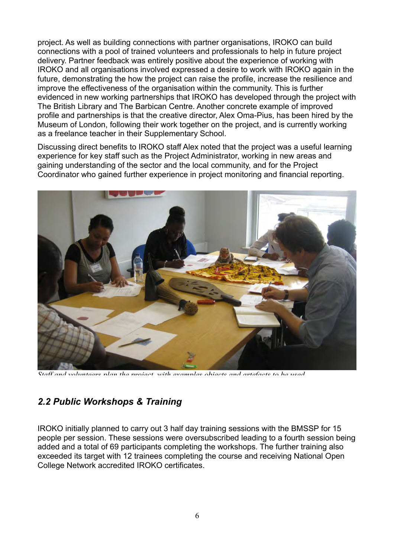project. As well as building connections with partner organisations, IROKO can build connections with a pool of trained volunteers and professionals to help in future project delivery. Partner feedback was entirely positive about the experience of working with IROKO and all organisations involved expressed a desire to work with IROKO again in the future, demonstrating the how the project can raise the profile, increase the resilience and improve the effectiveness of the organisation within the community. This is further evidenced in new working partnerships that IROKO has developed through the project with The British Library and The Barbican Centre. Another concrete example of improved profile and partnerships is that the creative director, Alex Oma-Pius, has been hired by the Museum of London, following their work together on the project, and is currently working as a freelance teacher in their Supplementary School.

Discussing direct benefits to IROKO staff Alex noted that the project was a useful learning experience for key staff such as the Project Administrator, working in new areas and gaining understanding of the sector and the local community, and for the Project Coordinator who gained further experience in project monitoring and financial reporting.



*Staff and volunteers plan the project, with examples objects and artefacts to be used.*

## *2.2 Public Workshops & Training*

IROKO initially planned to carry out 3 half day training sessions with the BMSSP for 15 people per session. These sessions were oversubscribed leading to a fourth session being added and a total of 69 participants completing the workshops. The further training also exceeded its target with 12 trainees completing the course and receiving National Open College Network accredited IROKO certificates.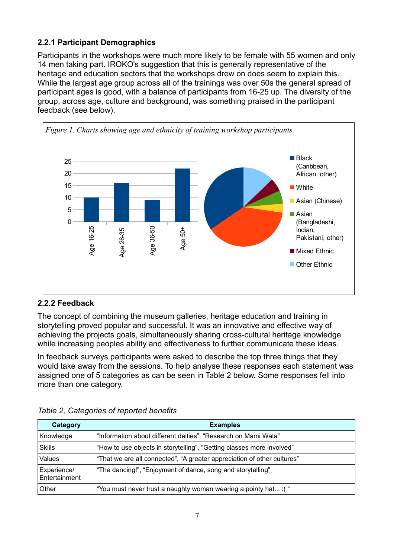## **2.2.1 Participant Demographics**

Participants in the workshops were much more likely to be female with 55 women and only 14 men taking part. IROKO's suggestion that this is generally representative of the heritage and education sectors that the workshops drew on does seem to explain this. While the largest age group across all of the trainings was over 50s the general spread of participant ages is good, with a balance of participants from 16-25 up. The diversity of the group, across age, culture and background, was something praised in the participant feedback (see below).



## **2.2.2 Feedback**

The concept of combining the museum galleries, heritage education and training in storytelling proved popular and successful. It was an innovative and effective way of achieving the projects goals, simultaneously sharing cross-cultural heritage knowledge while increasing peoples ability and effectiveness to further communicate these ideas.

In feedback surveys participants were asked to describe the top three things that they would take away from the sessions. To help analyse these responses each statement was assigned one of 5 categories as can be seen in Table 2 below. Some responses fell into more than one category.

| <b>Category</b>              | <b>Examples</b>                                                         |
|------------------------------|-------------------------------------------------------------------------|
| Knowledge                    | "Information about different deities", "Research on Mami Wata"          |
| <b>Skills</b>                | "How to use objects in storytelling", "Getting classes more involved"   |
| Values                       | "That we are all connected", "A greater appreciation of other cultures" |
| Experience/<br>Entertainment | "The dancing!", "Enjoyment of dance, song and storytelling"             |
| Other                        | "You must never trust a naughty woman wearing a pointy hat : ("         |

|  | Table 2, Categories of reported benefits |  |  |
|--|------------------------------------------|--|--|
|--|------------------------------------------|--|--|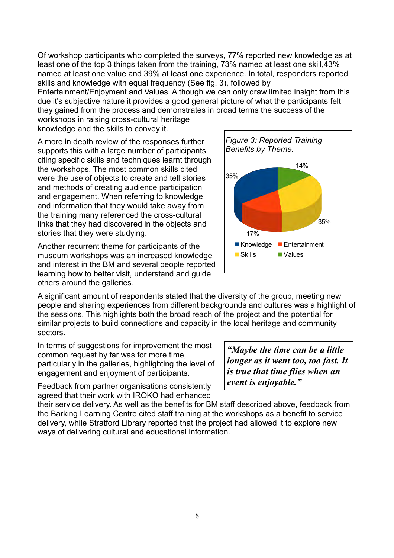Of workshop participants who completed the surveys, 77% reported new knowledge as at least one of the top 3 things taken from the training, 73% named at least one skill,43% named at least one value and 39% at least one experience. In total, responders reported skills and knowledge with equal frequency (See fig. 3), followed by

Entertainment/Enjoyment and Values. Although we can only draw limited insight from this due it's subjective nature it provides a good general picture of what the participants felt they gained from the process and demonstrates in broad terms the success of the workshops in raising cross-cultural heritage

knowledge and the skills to convey it.

A more in depth review of the responses further supports this with a large number of participants citing specific skills and techniques learnt through the workshops. The most common skills cited were the use of objects to create and tell stories and methods of creating audience participation and engagement. When referring to knowledge and information that they would take away from the training many referenced the cross-cultural links that they had discovered in the objects and stories that they were studying.

Another recurrent theme for participants of the museum workshops was an increased knowledge and interest in the BM and several people reported learning how to better visit, understand and guide others around the galleries.



A significant amount of respondents stated that the diversity of the group, meeting new people and sharing experiences from different backgrounds and cultures was a highlight of the sessions. This highlights both the broad reach of the project and the potential for similar projects to build connections and capacity in the local heritage and community sectors.

In terms of suggestions for improvement the most common request by far was for more time, particularly in the galleries, highlighting the level of engagement and enjoyment of participants.

Feedback from partner organisations consistently agreed that their work with IROKO had enhanced

*"Maybe the time can be a little longer as it went too, too fast. It is true that time flies when an event is enjoyable."*

their service delivery. As well as the benefits for BM staff described above, feedback from the Barking Learning Centre cited staff training at the workshops as a benefit to service delivery, while Stratford Library reported that the project had allowed it to explore new ways of delivering cultural and educational information.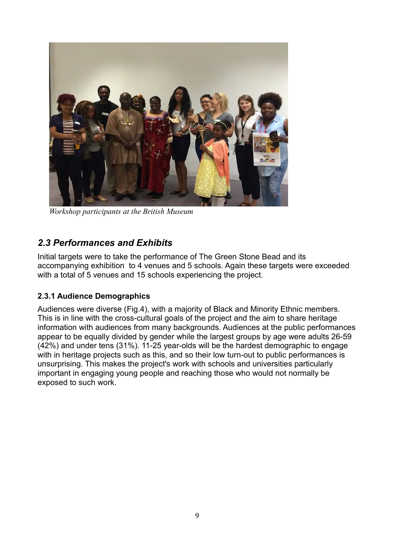

*Workshop participants at the British Museum*

## *2.3 Performances and Exhibits*

Initial targets were to take the performance of The Green Stone Bead and its accompanying exhibition to 4 venues and 5 schools. Again these targets were exceeded with a total of 5 venues and 15 schools experiencing the project.

## **2.3.1 Audience Demographics**

Audiences were diverse (Fig.4), with a majority of Black and Minority Ethnic members. This is in line with the cross-cultural goals of the project and the aim to share heritage information with audiences from many backgrounds. Audiences at the public performances appear to be equally divided by gender while the largest groups by age were adults 26-59 (42%) and under tens (31%). 11-25 year-olds will be the hardest demographic to engage with in heritage projects such as this, and so their low turn-out to public performances is unsurprising. This makes the project's work with schools and universities particularly important in engaging young people and reaching those who would not normally be exposed to such work.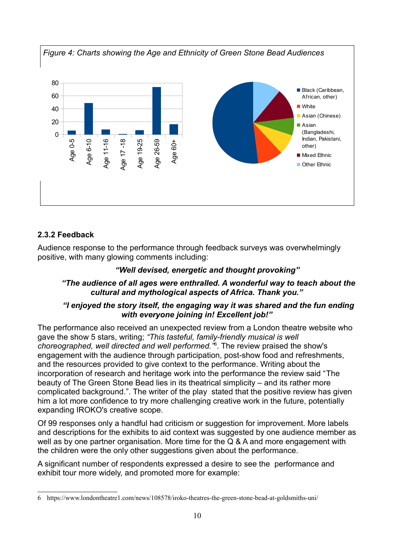

## **2.3.2 Feedback**

Audience response to the performance through feedback surveys was overwhelmingly positive, with many glowing comments including:

#### *"Well devised, energetic and thought provoking"*

#### *"The audience of all ages were enthralled. A wonderful way to teach about the cultural and mythological aspects of Africa. Thank you."*

#### *"I enjoyed the story itself, the engaging way it was shared and the fun ending with everyone joining in! Excellent job!"*

The performance also received an unexpected review from a London theatre website who gave the show 5 stars, writing; *"This tasteful, family-friendly musical is well choreographed, well directed and well performed."*[6](#page-9-0) . The review praised the show's engagement with the audience through participation, post-show food and refreshments, and the resources provided to give context to the performance. Writing about the incorporation of research and heritage work into the performance the review said "The beauty of The Green Stone Bead lies in its theatrical simplicity – and its rather more complicated background.". The writer of the play stated that the positive review has given him a lot more confidence to try more challenging creative work in the future, potentially expanding IROKO's creative scope.

Of 99 responses only a handful had criticism or suggestion for improvement. More labels and descriptions for the exhibits to aid context was suggested by one audience member as well as by one partner organisation. More time for the Q & A and more engagement with the children were the only other suggestions given about the performance.

A significant number of respondents expressed a desire to see the performance and exhibit tour more widely, and promoted more for example:

<span id="page-9-0"></span><sup>6</sup> https://www.londontheatre1.com/news/108578/iroko-theatres-the-green-stone-bead-at-goldsmiths-uni/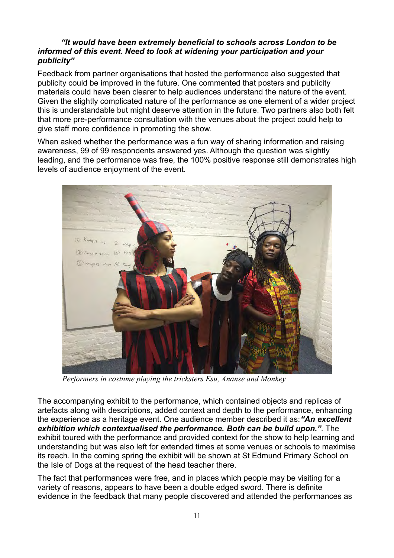#### *"It would have been extremely beneficial to schools across London to be informed of this event. Need to look at widening your participation and your publicity"*

Feedback from partner organisations that hosted the performance also suggested that publicity could be improved in the future. One commented that posters and publicity materials could have been clearer to help audiences understand the nature of the event. Given the slightly complicated nature of the performance as one element of a wider project this is understandable but might deserve attention in the future. Two partners also both felt that more pre-performance consultation with the venues about the project could help to give staff more confidence in promoting the show.

When asked whether the performance was a fun way of sharing information and raising awareness, 99 of 99 respondents answered yes. Although the question was slightly leading, and the performance was free, the 100% positive response still demonstrates high levels of audience enjoyment of the event.



*Performers in costume playing the tricksters Esu, Ananse and Monkey*

The accompanying exhibit to the performance, which contained objects and replicas of artefacts along with descriptions, added context and depth to the performance, enhancing the experience as a heritage event. One audience member described it as:*"An excellent exhibition which contextualised the performance. Both can be build upon.".* The exhibit toured with the performance and provided context for the show to help learning and understanding but was also left for extended times at some venues or schools to maximise its reach. In the coming spring the exhibit will be shown at St Edmund Primary School on the Isle of Dogs at the request of the head teacher there.

The fact that performances were free, and in places which people may be visiting for a variety of reasons, appears to have been a double edged sword. There is definite evidence in the feedback that many people discovered and attended the performances as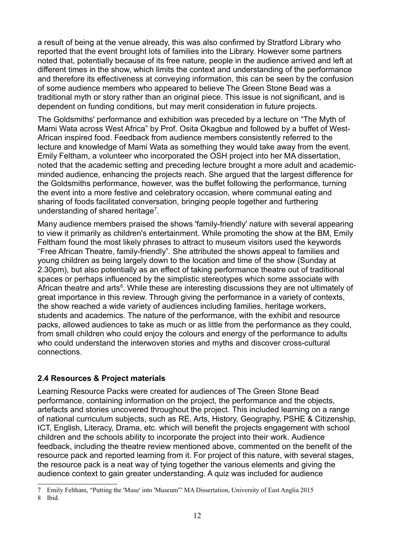a result of being at the venue already, this was also confirmed by Stratford Library who reported that the event brought lots of families into the Library. However some partners noted that, potentially because of its free nature, people in the audience arrived and left at different times in the show, which limits the context and understanding of the performance and therefore its effectiveness at conveying information, this can be seen by the confusion of some audience members who appeared to believe The Green Stone Bead was a traditional myth or story rather than an original piece. This issue is not significant, and is dependent on funding conditions, but may merit consideration in future projects.

The Goldsmiths' performance and exhibition was preceded by a lecture on "The Myth of Mami Wata across West Africa" by Prof. Osita Okagbue and followed by a buffet of West-African inspired food. Feedback from audience members consistently referred to the lecture and knowledge of Mami Wata as something they would take away from the event. Emily Feltham, a volunteer who incorporated the OSH project into her MA dissertation, noted that the academic setting and preceding lecture brought a more adult and academicminded audience, enhancing the projects reach. She argued that the largest difference for the Goldsmiths performance, however, was the buffet following the performance, turning the event into a more festive and celebratory occasion, where communal eating and sharing of foods facilitated conversation, bringing people together and furthering understanding of shared heritage<sup>[7](#page-11-0)</sup>.

Many audience members praised the shows 'family-friendly' nature with several appearing to view it primarily as children's entertainment. While promoting the show at the BM, Emily Feltham found the most likely phrases to attract to museum visitors used the keywords "Free African Theatre, family-friendly". She attributed the shows appeal to families and young children as being largely down to the location and time of the show (Sunday at 2.30pm), but also potentially as an effect of taking performance theatre out of traditional spaces or perhaps influenced by the simplistic stereotypes which some associate with African theatre and arts<sup>[8](#page-11-1)</sup>. While these are interesting discussions they are not ultimately of great importance in this review. Through giving the performance in a variety of contexts, the show reached a wide variety of audiences including families, heritage workers, students and academics. The nature of the performance, with the exhibit and resource packs, allowed audiences to take as much or as little from the performance as they could, from small children who could enjoy the colours and energy of the performance to adults who could understand the interwoven stories and myths and discover cross-cultural connections.

## **2.4 Resources & Project materials**

Learning Resource Packs were created for audiences of The Green Stone Bead performance, containing information on the project, the performance and the objects, artefacts and stories uncovered throughout the project. This included learning on a range of national curriculum subjects, such as RE, Arts, History, Geography, PSHE & Citizenship, ICT, English, Literacy, Drama, etc. which will benefit the projects engagement with school children and the schools ability to incorporate the project into their work. Audience feedback, including the theatre review mentioned above, commented on the benefit of the resource pack and reported learning from it. For project of this nature, with several stages, the resource pack is a neat way of tying together the various elements and giving the audience context to gain greater understanding. A quiz was included for audience

<span id="page-11-0"></span><sup>7</sup> Emily Feltham, "Putting the 'Muse' into 'Museum'" MA Dissertation, University of East Anglia 2015

<span id="page-11-1"></span><sup>8</sup> Ibid.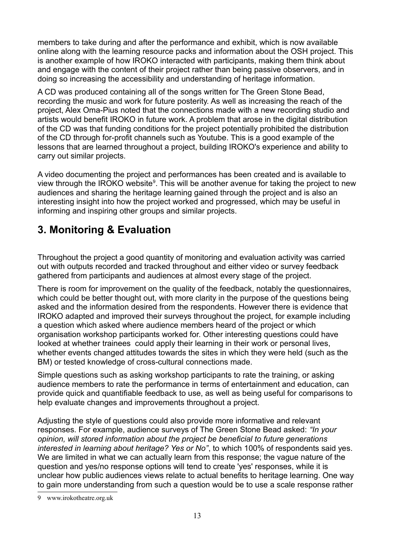members to take during and after the performance and exhibit, which is now available online along with the learning resource packs and information about the OSH project. This is another example of how IROKO interacted with participants, making them think about and engage with the content of their project rather than being passive observers, and in doing so increasing the accessibility and understanding of heritage information.

A CD was produced containing all of the songs written for The Green Stone Bead, recording the music and work for future posterity. As well as increasing the reach of the project, Alex Oma-Pius noted that the connections made with a new recording studio and artists would benefit IROKO in future work. A problem that arose in the digital distribution of the CD was that funding conditions for the project potentially prohibited the distribution of the CD through for-profit channels such as Youtube. This is a good example of the lessons that are learned throughout a project, building IROKO's experience and ability to carry out similar projects.

A video documenting the project and performances has been created and is available to view through the IROKO website<sup>[9](#page-12-0)</sup>. This will be another avenue for taking the project to new audiences and sharing the heritage learning gained through the project and is also an interesting insight into how the project worked and progressed, which may be useful in informing and inspiring other groups and similar projects.

# **3. Monitoring & Evaluation**

Throughout the project a good quantity of monitoring and evaluation activity was carried out with outputs recorded and tracked throughout and either video or survey feedback gathered from participants and audiences at almost every stage of the project.

There is room for improvement on the quality of the feedback, notably the questionnaires, which could be better thought out, with more clarity in the purpose of the questions being asked and the information desired from the respondents. However there is evidence that IROKO adapted and improved their surveys throughout the project, for example including a question which asked where audience members heard of the project or which organisation workshop participants worked for. Other interesting questions could have looked at whether trainees could apply their learning in their work or personal lives, whether events changed attitudes towards the sites in which they were held (such as the BM) or tested knowledge of cross-cultural connections made.

Simple questions such as asking workshop participants to rate the training, or asking audience members to rate the performance in terms of entertainment and education, can provide quick and quantifiable feedback to use, as well as being useful for comparisons to help evaluate changes and improvements throughout a project.

Adjusting the style of questions could also provide more informative and relevant responses. For example, audience surveys of The Green Stone Bead asked: *"In your opinion, will stored information about the project be beneficial to future generations interested in learning about heritage? Yes or No"*, to which 100% of respondents said yes. We are limited in what we can actually learn from this response; the vague nature of the question and yes/no response options will tend to create 'yes' responses, while it is unclear how public audiences views relate to actual benefits to heritage learning. One way to gain more understanding from such a question would be to use a scale response rather

<span id="page-12-0"></span><sup>9</sup> www.irokotheatre.org.uk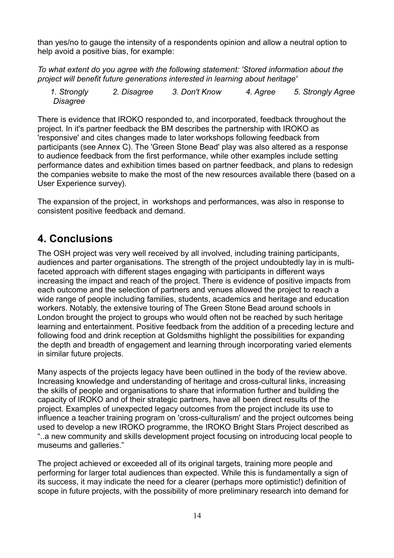than yes/no to gauge the intensity of a respondents opinion and allow a neutral option to help avoid a positive bias, for example:

*To what extent do you agree with the following statement: 'Stored information about the project will benefit future generations interested in learning about heritage'*

*1. Strongly Disagree 2. Disagree 3. Don't Know 4. Agree 5. Strongly Agree*

There is evidence that IROKO responded to, and incorporated, feedback throughout the project. In it's partner feedback the BM describes the partnership with IROKO as 'responsive' and cites changes made to later workshops following feedback from participants (see Annex C). The 'Green Stone Bead' play was also altered as a response to audience feedback from the first performance, while other examples include setting performance dates and exhibition times based on partner feedback, and plans to redesign the companies website to make the most of the new resources available there (based on a User Experience survey).

The expansion of the project, in workshops and performances, was also in response to consistent positive feedback and demand.

## **4. Conclusions**

The OSH project was very well received by all involved, including training participants, audiences and parter organisations. The strength of the project undoubtedly lay in is multifaceted approach with different stages engaging with participants in different ways increasing the impact and reach of the project. There is evidence of positive impacts from each outcome and the selection of partners and venues allowed the project to reach a wide range of people including families, students, academics and heritage and education workers. Notably, the extensive touring of The Green Stone Bead around schools in London brought the project to groups who would often not be reached by such heritage learning and entertainment. Positive feedback from the addition of a preceding lecture and following food and drink reception at Goldsmiths highlight the possibilities for expanding the depth and breadth of engagement and learning through incorporating varied elements in similar future projects.

Many aspects of the projects legacy have been outlined in the body of the review above. Increasing knowledge and understanding of heritage and cross-cultural links, increasing the skills of people and organisations to share that information further and building the capacity of IROKO and of their strategic partners, have all been direct results of the project. Examples of unexpected legacy outcomes from the project include its use to influence a teacher training program on 'cross-culturalism' and the project outcomes being used to develop a new IROKO programme, the IROKO Bright Stars Project described as "..a new community and skills development project focusing on introducing local people to museums and galleries."

The project achieved or exceeded all of its original targets, training more people and performing for larger total audiences than expected. While this is fundamentally a sign of its success, it may indicate the need for a clearer (perhaps more optimistic!) definition of scope in future projects, with the possibility of more preliminary research into demand for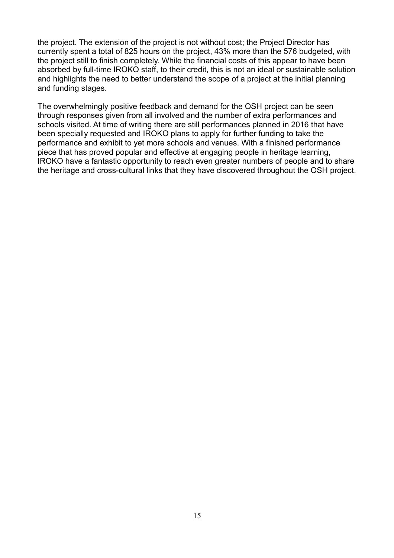the project. The extension of the project is not without cost; the Project Director has currently spent a total of 825 hours on the project, 43% more than the 576 budgeted, with the project still to finish completely. While the financial costs of this appear to have been absorbed by full-time IROKO staff, to their credit, this is not an ideal or sustainable solution and highlights the need to better understand the scope of a project at the initial planning and funding stages.

The overwhelmingly positive feedback and demand for the OSH project can be seen through responses given from all involved and the number of extra performances and schools visited. At time of writing there are still performances planned in 2016 that have been specially requested and IROKO plans to apply for further funding to take the performance and exhibit to yet more schools and venues. With a finished performance piece that has proved popular and effective at engaging people in heritage learning, IROKO have a fantastic opportunity to reach even greater numbers of people and to share the heritage and cross-cultural links that they have discovered throughout the OSH project.